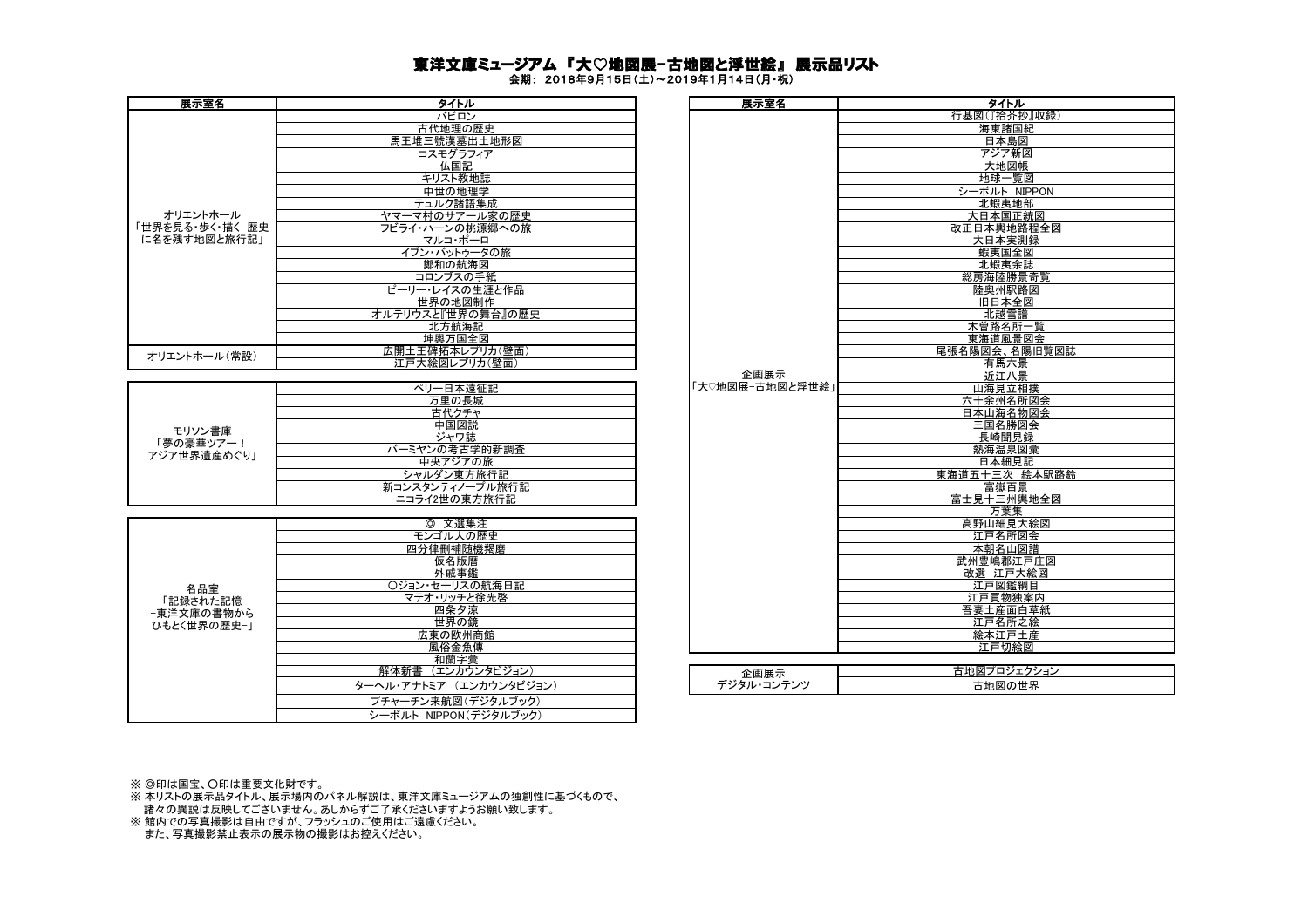## 東洋文庫ミュージアム 『大♡地図展-古地図と浮世絵』 展示品リスト

会期: 2018年9月15日(土)~2019年1月14日(月・祝)

| 展示室名            | タイトル              | 展示室名            | タイトル     |
|-----------------|-------------------|-----------------|----------|
|                 | バビロン              |                 | 行基図(『拾芥お |
|                 | 古代地理の歴史           |                 | 海東諸国     |
|                 | 馬王堆三號漢墓出土地形図      |                 | 日本島図     |
|                 | コスモグラフィア          |                 | アジア新     |
|                 | 仏国記               |                 | 大地図帆     |
|                 | キリスト教地誌           |                 | 地球一覧     |
|                 | 中世の地理学            |                 | シーボルト Ni |
|                 | テュルク諸語集成          |                 | 北蝦夷地     |
| オリエントホール        | ヤマーマ村のサアール家の歴史    |                 | 大日本国正    |
| 「世界を見る・歩く・描く 歴史 | フビライ・ハーンの桃源郷への旅   |                 | 改正日本輿地路  |
| に名を残す地図と旅行記」    | マルコ・ポーロ           |                 | 大日本実測    |
|                 | イブン・バットゥータの旅      |                 | 蝦夷国全     |
|                 | 鄭和の航海図            |                 | 北蝦夷余     |
|                 | コロンブスの手紙          |                 | 総房海陸勝景   |
|                 | ピーリー・レイスの生涯と作品    |                 | 陸奥州駅路    |
|                 | 世界の地図制作           |                 | 旧日本全     |
|                 | オルテリウスと『世界の舞台』の歴史 |                 | 北越雪譜     |
|                 | 北方航海記             |                 | 木曽路名所    |
|                 | 坤輿万国全図            |                 | 東海道風景    |
| オリエントホール(常設)    | 広開土王碑拓本レプリカ(壁面)   |                 | 尾張名陽図会、名 |
|                 | 江戸大絵図レプリカ(壁面)     |                 | 有馬六景     |
|                 |                   | 企画展示            | 近江八景     |
|                 | ペリー日本遠征記          | 「大♡地図展−古地図と浮世絵」 | 山海見立相    |
|                 | 万里の長城             |                 | 六十余州名    |
|                 | 古代クチャ             |                 | 日本山海名物   |
| _ __            | 中国図説              |                 | 三国名勝図    |

| モリソン書庫<br>「夢の豪華ツアー!<br>アジア世界遺産めぐり! | ·日本遠征記          |
|------------------------------------|-----------------|
|                                    | 万里の長城           |
|                                    | 古代クチャ           |
|                                    | 中国図説            |
|                                    | ジャワ誌            |
|                                    | バーミヤンの考古学的新調査   |
|                                    | 中央アジアの旅         |
|                                    | シャルダン東方旅行記      |
|                                    | 新コンスタンティノープル旅行記 |
|                                    | ニコライ2世の東方旅行記    |
|                                    |                 |

|             | 文選集注<br>⊚               |
|-------------|-------------------------|
|             | モンゴル人の歴史                |
|             | 四分律刪補随機羯磨               |
|             | 仮名版暦                    |
|             | 外戚事鑑                    |
| 名品室         | ○ジョン・セーリスの航海日記          |
| 「記録された記憶    | マテオ・リッチと徐光啓             |
| −東洋文庫の書物から  | 四条夕涼                    |
| ひもとく世界の歴史-1 | 世界の鏡                    |
|             | 広東の欧州商館                 |
|             | 風俗金魚傳                   |
|             | 和蘭字彙                    |
|             | 解体新書 (エンカウンタビジョン)       |
|             | ターヘル・アナトミア (エンカウンタビジョン) |
|             | プチャーチン来航図(デジタルブック)      |
|             | シーボルト NIPPON(デジタルブック)   |

| タイトル                                                                    | 展示室名               | タイトル            |
|-------------------------------------------------------------------------|--------------------|-----------------|
| バビロン                                                                    |                    | 行基図(『拾芥抄』収録)    |
| 古代地理の歴史                                                                 |                    | 海東諸国紀           |
| 馬王堆三號漢墓出土地形図                                                            |                    | 日本島図            |
| コスモグラフィア                                                                |                    | アジア新図           |
| 仏国記                                                                     |                    | 大地図帳            |
| キリスト教地誌                                                                 |                    | 地球一覧図           |
| 中世の地理学                                                                  |                    | シーボルト NIPPON    |
| テュルク諸語集成                                                                |                    | 北蝦夷地部           |
| ヤマーマ村のサアール家の歴史                                                          |                    | 大日本国正統図         |
| フビライ・ハーンの桃源郷への旅                                                         |                    | 改正日本輿地路程全図      |
| マルコ・ポーロ                                                                 |                    | 大日本実測録          |
| イブン・バットゥータの旅                                                            |                    | 蝦夷国全図           |
| 鄭和の航海図                                                                  |                    | 北蝦夷余誌           |
| コロンブスの手紙                                                                |                    | 総房海陸勝景奇覧        |
| ピーリー・レイスの生涯と作品                                                          |                    | 陸奥州駅路図          |
| 世界の地図制作                                                                 |                    | 旧日本全図           |
| オルテリウスと『世界の舞台』の歴史                                                       |                    | 北越雪譜            |
| 北方航海記                                                                   |                    | 木曽路名所一覧         |
| 坤輿万国全図                                                                  |                    | 東海道風景図会         |
| 広開土王碑拓本レプリカ(壁面)                                                         |                    | 尾張名陽図会、名陽旧覧図誌   |
| 江戸大絵図レプリカ(壁面)                                                           |                    | 有馬六景            |
|                                                                         | 企画展示               | 近江八景            |
| ペリー日本遠征記                                                                | 「大♡地図展−古地図と浮世絵」    | 山海見立相撲          |
| 万里の長城                                                                   |                    | 六十余州名所図会        |
| 古代クチャ                                                                   |                    | 日本山海名物図会        |
| 中国図説                                                                    |                    | 三国名勝図会          |
| ジャワ誌                                                                    |                    | 長崎聞見録           |
| バーミヤンの考古学的新調査                                                           |                    | 熱海温泉図彙          |
| 中央アジアの旅                                                                 |                    | 日本細見記           |
| シャルダン東方旅行記                                                              |                    | 東海道五十三次 絵本駅路鈴   |
| 新コンスタンティノープル旅行記                                                         |                    | 富嶽百景            |
| ニコライ2世の東方旅行記                                                            |                    | 富士見十三州輿地全図      |
|                                                                         |                    | 万葉集             |
| ◎ 文選集注                                                                  |                    | 高野山細見大絵図        |
| モンゴル人の歴史                                                                |                    | 江戸名所図会          |
| 四分律刪補随機羯磨                                                               |                    | 本朝名山図譜          |
| 仮名版暦                                                                    |                    | 武州豊嶋郡江戸庄図       |
| 外戚事鑑                                                                    |                    | 改選 江戸大絵図        |
| ○ジョン・セーリスの航海日記                                                          |                    | 江戸図鑑綱目          |
| マテオ・リッチと徐光啓                                                             |                    | 江戸買物独案内         |
| 四条夕涼<br>世界の鏡                                                            |                    | 吾妻土産面白草紙        |
|                                                                         |                    | 江戸名所之絵          |
| 広東の欧州商館<br>風俗金魚傳                                                        |                    | 絵本江戸土産<br>江戸切絵図 |
| 和蘭字彙                                                                    |                    |                 |
| 解体新書 (エンカウンタビジョン)                                                       |                    | 古地図プロジェクション     |
| ターヘル・アナトミア (エンカウンタビジョン)                                                 | 企画展示<br>デジタル・コンテンツ |                 |
| $\frac{1}{2}$ . A $\frac{1}{2}$ , and $\frac{1}{2}$ , and $\frac{1}{2}$ |                    | 古地図の世界          |

※ ◎印は国宝、○印は重要文化財です。

※ 本リストの展示品タイトル、展示場内のパネル解説は、東洋文庫ミュージアムの独創性に基づくもので、 。<br>諸々の異説は反映してございません。あしからずご了承くださいますようお願い致します。

※ 館内での写真撮影は自由ですが、フラッシュのご使用はご遠慮ください。

また、写真撮影禁止表示の展示物の撮影はお控えください。